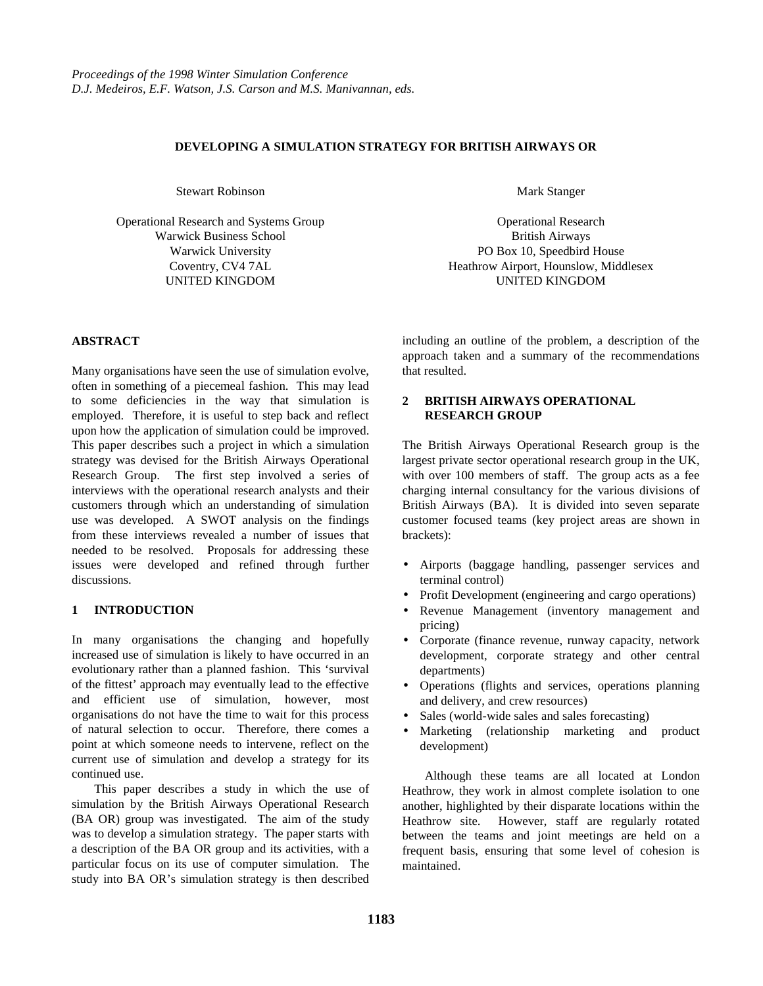#### **DEVELOPING A SIMULATION STRATEGY FOR BRITISH AIRWAYS OR**

Stewart Robinson

Operational Research and Systems Group Warwick Business School Warwick University Coventry, CV4 7AL UNITED KINGDOM

**ABSTRACT**

Many organisations have seen the use of simulation evolve, often in something of a piecemeal fashion. This may lead to some deficiencies in the way that simulation is employed. Therefore, it is useful to step back and reflect upon how the application of simulation could be improved. This paper describes such a project in which a simulation strategy was devised for the British Airways Operational Research Group. The first step involved a series of interviews with the operational research analysts and their customers through which an understanding of simulation use was developed. A SWOT analysis on the findings from these interviews revealed a number of issues that needed to be resolved. Proposals for addressing these issues were developed and refined through further discussions.

# **1 INTRODUCTION**

In many organisations the changing and hopefully increased use of simulation is likely to have occurred in an evolutionary rather than a planned fashion. This 'survival of the fittest' approach may eventually lead to the effective and efficient use of simulation, however, most organisations do not have the time to wait for this process of natural selection to occur. Therefore, there comes a point at which someone needs to intervene, reflect on the current use of simulation and develop a strategy for its continued use.

This paper describes a study in which the use of simulation by the British Airways Operational Research (BA OR) group was investigated. The aim of the study was to develop a simulation strategy. The paper starts with a description of the BA OR group and its activities, with a particular focus on its use of computer simulation. The study into BA OR's simulation strategy is then described

Mark Stanger

Operational Research British Airways PO Box 10, Speedbird House Heathrow Airport, Hounslow, Middlesex UNITED KINGDOM

including an outline of the problem, a description of the approach taken and a summary of the recommendations that resulted.

## **2 BRITISH AIRWAYS OPERATIONAL RESEARCH GROUP**

The British Airways Operational Research group is the largest private sector operational research group in the UK, with over 100 members of staff. The group acts as a fee charging internal consultancy for the various divisions of British Airways (BA). It is divided into seven separate customer focused teams (key project areas are shown in brackets):

- Airports (baggage handling, passenger services and terminal control)
- Profit Development (engineering and cargo operations)
- Revenue Management (inventory management and pricing)
- Corporate (finance revenue, runway capacity, network development, corporate strategy and other central departments)
- Operations (flights and services, operations planning and delivery, and crew resources)
- Sales (world-wide sales and sales forecasting)
- Marketing (relationship marketing and product development)

Although these teams are all located at London Heathrow, they work in almost complete isolation to one another, highlighted by their disparate locations within the Heathrow site. However, staff are regularly rotated between the teams and joint meetings are held on a frequent basis, ensuring that some level of cohesion is maintained.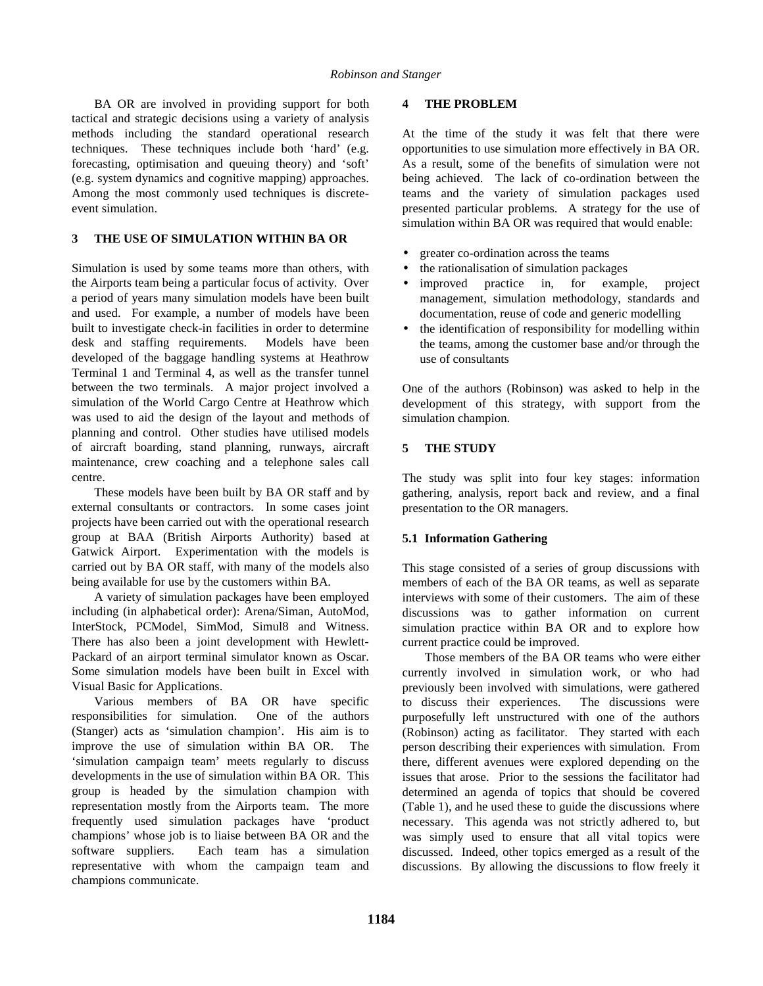BA OR are involved in providing support for both tactical and strategic decisions using a variety of analysis methods including the standard operational research techniques. These techniques include both 'hard' (e.g. forecasting, optimisation and queuing theory) and 'soft' (e.g. system dynamics and cognitive mapping) approaches. Among the most commonly used techniques is discreteevent simulation.

### **3 THE USE OF SIMULATION WITHIN BA OR**

Simulation is used by some teams more than others, with the Airports team being a particular focus of activity. Over a period of years many simulation models have been built and used. For example, a number of models have been built to investigate check-in facilities in order to determine desk and staffing requirements. Models have been developed of the baggage handling systems at Heathrow Terminal 1 and Terminal 4, as well as the transfer tunnel between the two terminals. A major project involved a simulation of the World Cargo Centre at Heathrow which was used to aid the design of the layout and methods of planning and control. Other studies have utilised models of aircraft boarding, stand planning, runways, aircraft maintenance, crew coaching and a telephone sales call centre.

These models have been built by BA OR staff and by external consultants or contractors. In some cases joint projects have been carried out with the operational research group at BAA (British Airports Authority) based at Gatwick Airport. Experimentation with the models is carried out by BA OR staff, with many of the models also being available for use by the customers within BA.

A variety of simulation packages have been employed including (in alphabetical order): Arena/Siman, AutoMod, InterStock, PCModel, SimMod, Simul8 and Witness. There has also been a joint development with Hewlett-Packard of an airport terminal simulator known as Oscar. Some simulation models have been built in Excel with Visual Basic for Applications.

Various members of BA OR have specific responsibilities for simulation. One of the authors (Stanger) acts as 'simulation champion'. His aim is to improve the use of simulation within BA OR. The 'simulation campaign team' meets regularly to discuss developments in the use of simulation within BA OR. This group is headed by the simulation champion with representation mostly from the Airports team. The more frequently used simulation packages have 'product champions' whose job is to liaise between BA OR and the software suppliers. Each team has a simulation representative with whom the campaign team and champions communicate.

#### **4 THE PROBLEM**

At the time of the study it was felt that there were opportunities to use simulation more effectively in BA OR. As a result, some of the benefits of simulation were not being achieved. The lack of co-ordination between the teams and the variety of simulation packages used presented particular problems. A strategy for the use of simulation within BA OR was required that would enable:

- greater co-ordination across the teams
- the rationalisation of simulation packages
- improved practice in, for example, project management, simulation methodology, standards and documentation, reuse of code and generic modelling
- the identification of responsibility for modelling within the teams, among the customer base and/or through the use of consultants

One of the authors (Robinson) was asked to help in the development of this strategy, with support from the simulation champion.

### **5 THE STUDY**

The study was split into four key stages: information gathering, analysis, report back and review, and a final presentation to the OR managers.

# **5.1 Information Gathering**

This stage consisted of a series of group discussions with members of each of the BA OR teams, as well as separate interviews with some of their customers. The aim of these discussions was to gather information on current simulation practice within BA OR and to explore how current practice could be improved.

Those members of the BA OR teams who were either currently involved in simulation work, or who had previously been involved with simulations, were gathered to discuss their experiences. The discussions were purposefully left unstructured with one of the authors (Robinson) acting as facilitator. They started with each person describing their experiences with simulation. From there, different avenues were explored depending on the issues that arose. Prior to the sessions the facilitator had determined an agenda of topics that should be covered (Table 1), and he used these to guide the discussions where necessary. This agenda was not strictly adhered to, but was simply used to ensure that all vital topics were discussed. Indeed, other topics emerged as a result of the discussions. By allowing the discussions to flow freely it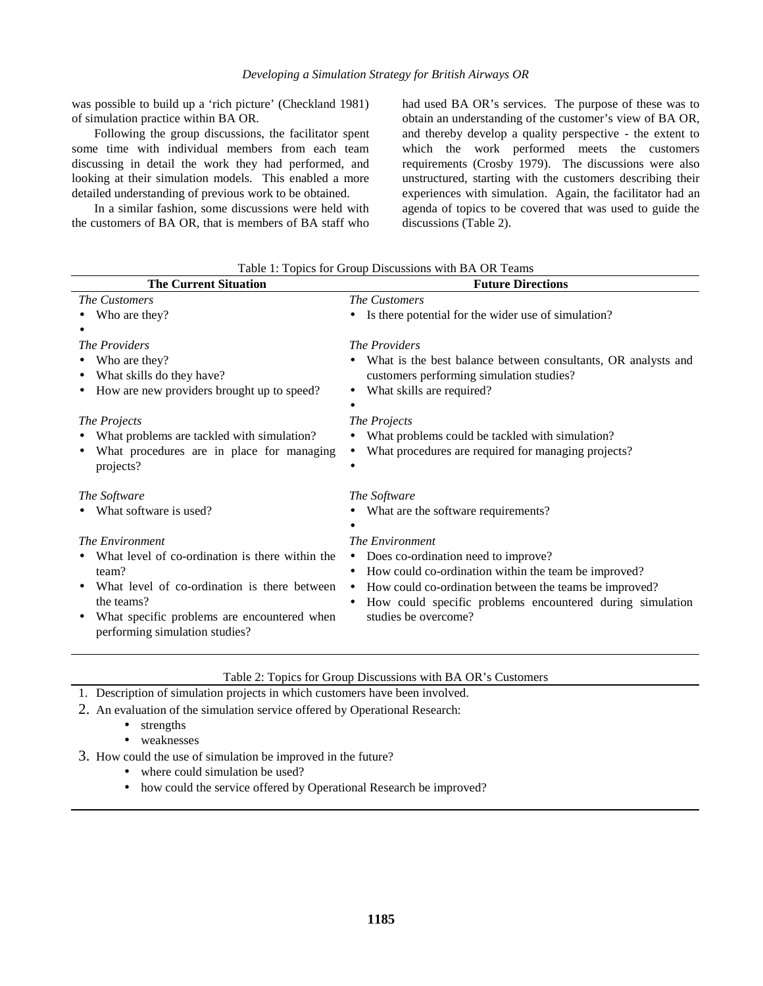was possible to build up a 'rich picture' (Checkland 1981) of simulation practice within BA OR.

Following the group discussions, the facilitator spent some time with individual members from each team discussing in detail the work they had performed, and looking at their simulation models. This enabled a more detailed understanding of previous work to be obtained.

In a similar fashion, some discussions were held with the customers of BA OR, that is members of BA staff who had used BA OR's services. The purpose of these was to obtain an understanding of the customer's view of BA OR, and thereby develop a quality perspective - the extent to which the work performed meets the customers requirements (Crosby 1979). The discussions were also unstructured, starting with the customers describing their experiences with simulation. Again, the facilitator had an agenda of topics to be covered that was used to guide the discussions (Table 2).

| <b>The Current Situation</b>                                                  | <b>Future Directions</b>                                               |
|-------------------------------------------------------------------------------|------------------------------------------------------------------------|
| The Customers                                                                 | The Customers                                                          |
| Who are they?                                                                 | Is there potential for the wider use of simulation?                    |
|                                                                               |                                                                        |
| The Providers                                                                 | The Providers                                                          |
| Who are they?                                                                 | What is the best balance between consultants, OR analysts and          |
| What skills do they have?                                                     | customers performing simulation studies?                               |
| How are new providers brought up to speed?                                    | What skills are required?                                              |
|                                                                               |                                                                        |
| <i>The Projects</i>                                                           | The Projects                                                           |
| What problems are tackled with simulation?                                    | What problems could be tackled with simulation?                        |
| What procedures are in place for managing                                     | What procedures are required for managing projects?                    |
| projects?                                                                     |                                                                        |
| The Software                                                                  | The Software                                                           |
| What software is used?                                                        | What are the software requirements?                                    |
|                                                                               |                                                                        |
| The Environment                                                               | The Environment                                                        |
| What level of co-ordination is there within the                               | Does co-ordination need to improve?                                    |
| team?                                                                         | How could co-ordination within the team be improved?                   |
| What level of co-ordination is there between<br>٠                             | How could co-ordination between the teams be improved?<br>$\bullet$    |
| the teams?                                                                    | How could specific problems encountered during simulation<br>$\bullet$ |
| What specific problems are encountered when<br>performing simulation studies? | studies be overcome?                                                   |

Table 1: Topics for Group Discussions with BA OR Teams

- Table 2: Topics for Group Discussions with BA OR's Customers
- 1. Description of simulation projects in which customers have been involved.
- 2. An evaluation of the simulation service offered by Operational Research:
	- strengths
	- weaknesses
- 3. How could the use of simulation be improved in the future?
	- where could simulation be used?
	- how could the service offered by Operational Research be improved?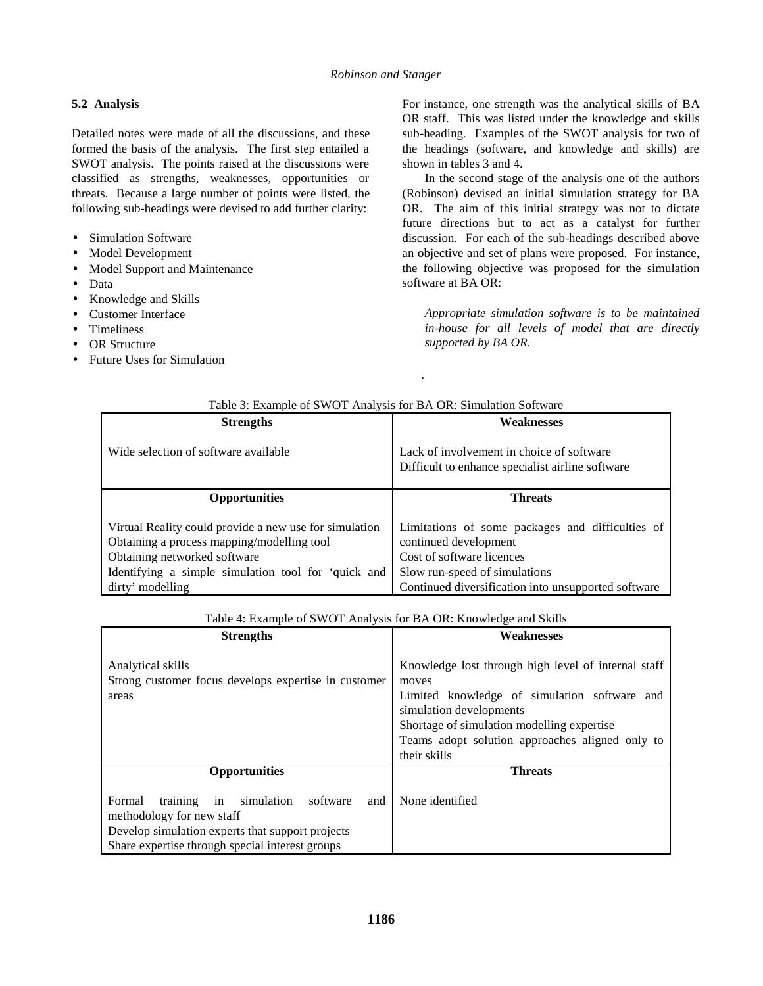# **5.2 Analysis**

Detailed notes were made of all the discussions, and these formed the basis of the analysis. The first step entailed a SWOT analysis. The points raised at the discussions were classified as strengths, weaknesses, opportunities or threats. Because a large number of points were listed, the following sub-headings were devised to add further clarity:

- Simulation Software
- Model Development
- Model Support and Maintenance
- Data
- Knowledge and Skills
- Customer Interface
- Timeliness
- OR Structure
- Future Uses for Simulation

For instance, one strength was the analytical skills of BA OR staff. This was listed under the knowledge and skills sub-heading. Examples of the SWOT analysis for two of the headings (software, and knowledge and skills) are shown in tables 3 and 4.

In the second stage of the analysis one of the authors (Robinson) devised an initial simulation strategy for BA OR. The aim of this initial strategy was not to dictate future directions but to act as a catalyst for further discussion. For each of the sub-headings described above an objective and set of plans were proposed. For instance, the following objective was proposed for the simulation software at BA OR:

*Appropriate simulation software is to be maintained in-house for all levels of model that are directly supported by BA OR.*

| Table 3: Example of SWOT Analysis for BA OR: Simulation Software                                                                                                                            |                                                                                                                                         |  |  |  |
|---------------------------------------------------------------------------------------------------------------------------------------------------------------------------------------------|-----------------------------------------------------------------------------------------------------------------------------------------|--|--|--|
| <b>Strengths</b>                                                                                                                                                                            | <b>Weaknesses</b>                                                                                                                       |  |  |  |
| Wide selection of software available                                                                                                                                                        | Lack of involvement in choice of software<br>Difficult to enhance specialist airline software                                           |  |  |  |
| <b>Opportunities</b>                                                                                                                                                                        | <b>Threats</b>                                                                                                                          |  |  |  |
| Virtual Reality could provide a new use for simulation<br>Obtaining a process mapping/modelling tool<br>Obtaining networked software<br>Identifying a simple simulation tool for 'quick and | Limitations of some packages and difficulties of<br>continued development<br>Cost of software licences<br>Slow run-speed of simulations |  |  |  |
| dirty' modelling                                                                                                                                                                            | Continued diversification into unsupported software                                                                                     |  |  |  |

*.*

Table 4: Example of SWOT Analysis for BA OR: Knowledge and Skills

| <b>Strengths</b>                                                                                                                                                                              | raoic +. Example of B ++ O + 7 mar jois for B/T OR, Teno wreage and Digitis<br>Weaknesses                                                                                                                                                                |  |
|-----------------------------------------------------------------------------------------------------------------------------------------------------------------------------------------------|----------------------------------------------------------------------------------------------------------------------------------------------------------------------------------------------------------------------------------------------------------|--|
| Analytical skills<br>Strong customer focus develops expertise in customer<br>areas                                                                                                            | Knowledge lost through high level of internal staff<br>moves<br>Limited knowledge of simulation software and<br>simulation developments<br>Shortage of simulation modelling expertise<br>Teams adopt solution approaches aligned only to<br>their skills |  |
| <b>Opportunities</b>                                                                                                                                                                          | <b>Threats</b>                                                                                                                                                                                                                                           |  |
| in<br>simulation<br>training<br>software<br>Formal<br>and<br>methodology for new staff<br>Develop simulation experts that support projects<br>Share expertise through special interest groups | None identified                                                                                                                                                                                                                                          |  |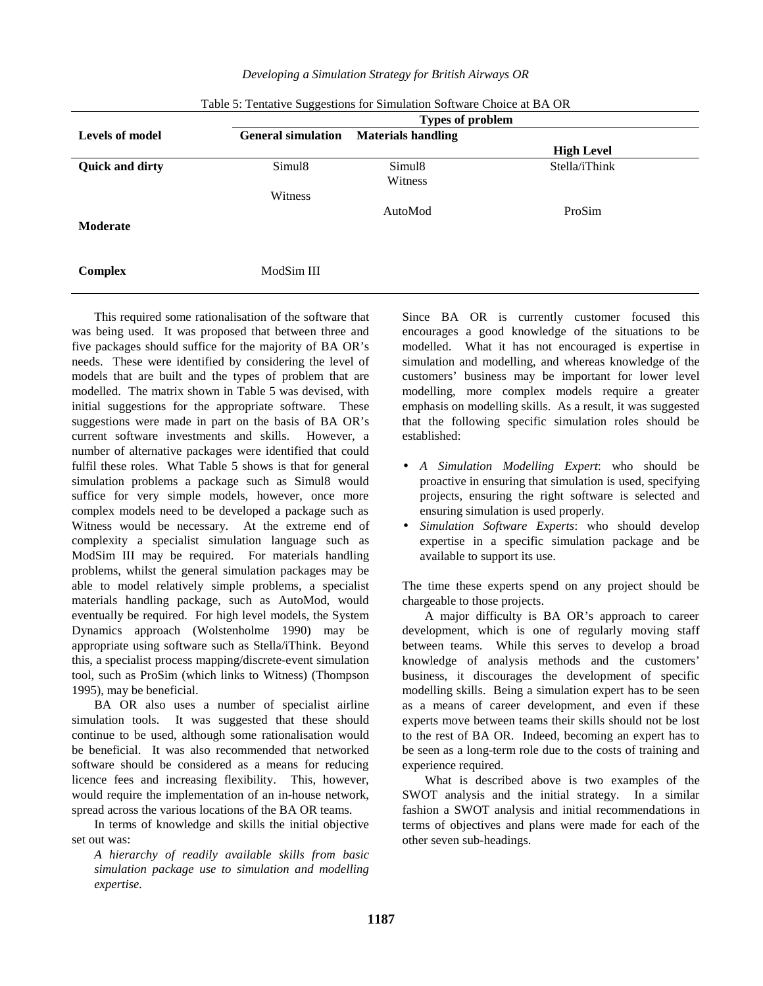|                        | <b>Types of problem</b>   |                           |                   |  |
|------------------------|---------------------------|---------------------------|-------------------|--|
| <b>Levels of model</b> | <b>General simulation</b> | <b>Materials handling</b> |                   |  |
|                        |                           |                           | <b>High Level</b> |  |
| <b>Quick and dirty</b> | Simul <sub>8</sub>        | Simul <sub>8</sub>        | Stella/iThink     |  |
|                        |                           | Witness                   |                   |  |
|                        | Witness                   |                           |                   |  |
|                        |                           | AutoMod                   | ProSim            |  |
| <b>Moderate</b>        |                           |                           |                   |  |
|                        |                           |                           |                   |  |
|                        |                           |                           |                   |  |
| <b>Complex</b>         | ModSim III                |                           |                   |  |
|                        |                           |                           |                   |  |

This required some rationalisation of the software that was being used. It was proposed that between three and five packages should suffice for the majority of BA OR's needs. These were identified by considering the level of models that are built and the types of problem that are modelled. The matrix shown in Table 5 was devised, with initial suggestions for the appropriate software. These suggestions were made in part on the basis of BA OR's current software investments and skills. However, a number of alternative packages were identified that could fulfil these roles. What Table 5 shows is that for general simulation problems a package such as Simul8 would suffice for very simple models, however, once more complex models need to be developed a package such as Witness would be necessary. At the extreme end of complexity a specialist simulation language such as ModSim III may be required. For materials handling problems, whilst the general simulation packages may be able to model relatively simple problems, a specialist materials handling package, such as AutoMod, would eventually be required. For high level models, the System Dynamics approach (Wolstenholme 1990) may be appropriate using software such as Stella/iThink. Beyond this, a specialist process mapping/discrete-event simulation tool, such as ProSim (which links to Witness) (Thompson 1995), may be beneficial.

BA OR also uses a number of specialist airline simulation tools. It was suggested that these should continue to be used, although some rationalisation would be beneficial. It was also recommended that networked software should be considered as a means for reducing licence fees and increasing flexibility. This, however, would require the implementation of an in-house network, spread across the various locations of the BA OR teams.

In terms of knowledge and skills the initial objective set out was:

*A hierarchy of readily available skills from basic simulation package use to simulation and modelling expertise.*

Since BA OR is currently customer focused this encourages a good knowledge of the situations to be modelled. What it has not encouraged is expertise in simulation and modelling, and whereas knowledge of the customers' business may be important for lower level modelling, more complex models require a greater emphasis on modelling skills. As a result, it was suggested that the following specific simulation roles should be established:

- *A Simulation Modelling Expert*: who should be proactive in ensuring that simulation is used, specifying projects, ensuring the right software is selected and ensuring simulation is used properly.
- *Simulation Software Experts*: who should develop expertise in a specific simulation package and be available to support its use.

The time these experts spend on any project should be chargeable to those projects.

A major difficulty is BA OR's approach to career development, which is one of regularly moving staff between teams. While this serves to develop a broad knowledge of analysis methods and the customers' business, it discourages the development of specific modelling skills. Being a simulation expert has to be seen as a means of career development, and even if these experts move between teams their skills should not be lost to the rest of BA OR. Indeed, becoming an expert has to be seen as a long-term role due to the costs of training and experience required.

What is described above is two examples of the SWOT analysis and the initial strategy. In a similar fashion a SWOT analysis and initial recommendations in terms of objectives and plans were made for each of the other seven sub-headings.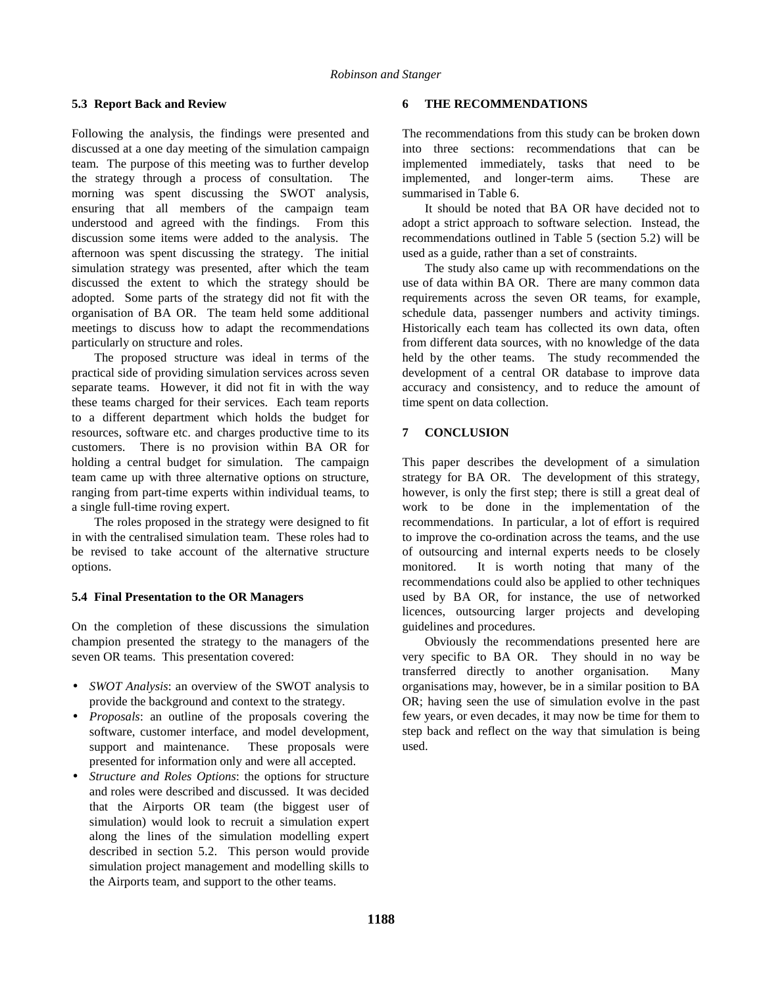### **5.3 Report Back and Review**

Following the analysis, the findings were presented and discussed at a one day meeting of the simulation campaign team. The purpose of this meeting was to further develop the strategy through a process of consultation. The morning was spent discussing the SWOT analysis, ensuring that all members of the campaign team understood and agreed with the findings. From this discussion some items were added to the analysis. The afternoon was spent discussing the strategy. The initial simulation strategy was presented, after which the team discussed the extent to which the strategy should be adopted. Some parts of the strategy did not fit with the organisation of BA OR. The team held some additional meetings to discuss how to adapt the recommendations particularly on structure and roles.

The proposed structure was ideal in terms of the practical side of providing simulation services across seven separate teams. However, it did not fit in with the way these teams charged for their services. Each team reports to a different department which holds the budget for resources, software etc. and charges productive time to its customers. There is no provision within BA OR for holding a central budget for simulation. The campaign team came up with three alternative options on structure, ranging from part-time experts within individual teams, to a single full-time roving expert.

The roles proposed in the strategy were designed to fit in with the centralised simulation team. These roles had to be revised to take account of the alternative structure options.

#### **5.4 Final Presentation to the OR Managers**

On the completion of these discussions the simulation champion presented the strategy to the managers of the seven OR teams. This presentation covered:

- *SWOT Analysis*: an overview of the SWOT analysis to provide the background and context to the strategy.
- *Proposals*: an outline of the proposals covering the software, customer interface, and model development, support and maintenance. These proposals were presented for information only and were all accepted.
- *Structure and Roles Options*: the options for structure and roles were described and discussed. It was decided that the Airports OR team (the biggest user of simulation) would look to recruit a simulation expert along the lines of the simulation modelling expert described in section 5.2. This person would provide simulation project management and modelling skills to the Airports team, and support to the other teams.

#### **6 THE RECOMMENDATIONS**

The recommendations from this study can be broken down into three sections: recommendations that can be implemented immediately, tasks that need to be implemented, and longer-term aims. These are summarised in Table 6.

It should be noted that BA OR have decided not to adopt a strict approach to software selection. Instead, the recommendations outlined in Table 5 (section 5.2) will be used as a guide, rather than a set of constraints.

The study also came up with recommendations on the use of data within BA OR. There are many common data requirements across the seven OR teams, for example, schedule data, passenger numbers and activity timings. Historically each team has collected its own data, often from different data sources, with no knowledge of the data held by the other teams. The study recommended the development of a central OR database to improve data accuracy and consistency, and to reduce the amount of time spent on data collection.

# **7 CONCLUSION**

This paper describes the development of a simulation strategy for BA OR. The development of this strategy, however, is only the first step; there is still a great deal of work to be done in the implementation of the recommendations. In particular, a lot of effort is required to improve the co-ordination across the teams, and the use of outsourcing and internal experts needs to be closely monitored. It is worth noting that many of the recommendations could also be applied to other techniques used by BA OR, for instance, the use of networked licences, outsourcing larger projects and developing guidelines and procedures.

Obviously the recommendations presented here are very specific to BA OR. They should in no way be transferred directly to another organisation. Many organisations may, however, be in a similar position to BA OR; having seen the use of simulation evolve in the past few years, or even decades, it may now be time for them to step back and reflect on the way that simulation is being used.